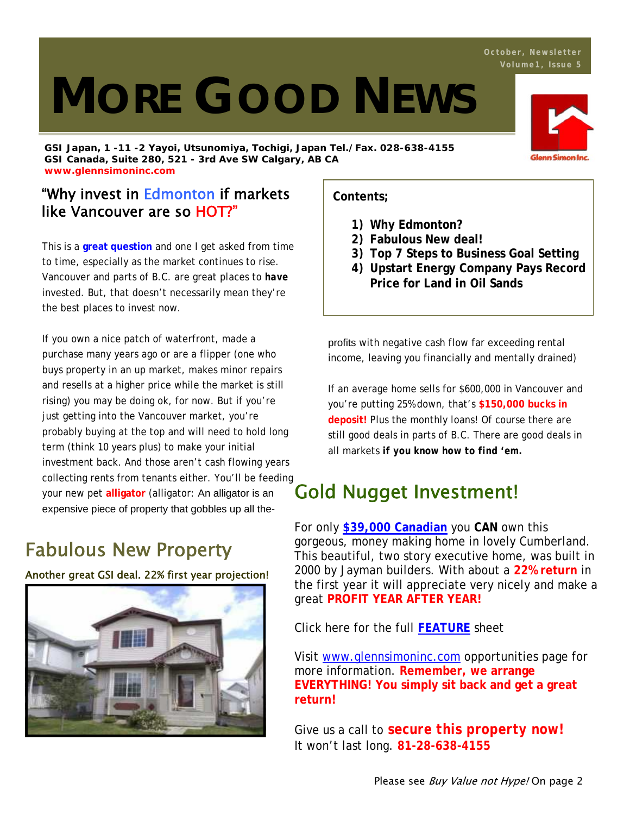# **MORE GOOD NEWS**

**GSI Japan, 1 -11 -2 Yayoi, Utsunomiya, Tochigi, Japan Tel./Fax. 028-638-4155 GSI Canada, Suite 280, 521 - 3rd Ave SW Calgary, AB CA www.glennsimoninc.com** 

## "Why invest in Edmonton if markets like Vancouver are so HOT?"

This is a **great question** and one I get asked from time to time, especially as the market continues to rise. Vancouver and parts of B.C. are great places to *have* invested. But, that doesn't necessarily mean they're the best places to invest now.

If you own a nice patch of waterfront, made a purchase many years ago or are a flipper (one who buys property in an up market, makes minor repairs and resells at a higher price while the market is still rising) you may be doing ok, for now. But if you're just getting into the Vancouver market, you're probably buying at the top and will need to hold long term (think 10 years plus) to make your initial investment back. And those aren't cash flowing years collecting rents from tenants either. You'll be feeding your new pet **alligator** (alligator: An alligator is an expensive piece of property that gobbles up all the-

## Fabulous New Property

Another great GSI deal. 22% first year projection!



**Contents;**

- **1) Why Edmonton?**
- **2) Fabulous New deal!**
- **3) Top 7 Steps to Business Goal Setting**
- **4) Upstart Energy Company Pays Record Price for Land in Oil Sands**

profits with negative cash flow far exceeding rental income, leaving you financially and mentally drained)

If an average home sells for \$600,000 in Vancouver and you're putting 25% down, that's **\$150,000 bucks in deposit!** Plus the monthly loans! Of course there are still good deals in parts of B.C. There are good deals in all markets *if you know how to find 'em.*

## Gold Nugget Investment!

For only **\$39,000 Canadian** you **CAN** own this gorgeous, money making home in lovely Cumberland. This beautiful, two story executive home, was built in 2000 by Jayman builders. With about a **22% return** in the first year it will appreciate very nicely and make a great **PROFIT YEAR AFTER YEAR!**

Click here for the full **FEATURE** sheet

Visit www.glennsimoninc.com opportunities page for more information. **Remember, we arrange EVERYTHING! You simply sit back and get a great return!** 

Give us a call to *secure this property now!* It won't last long. **81-28-638-4155**

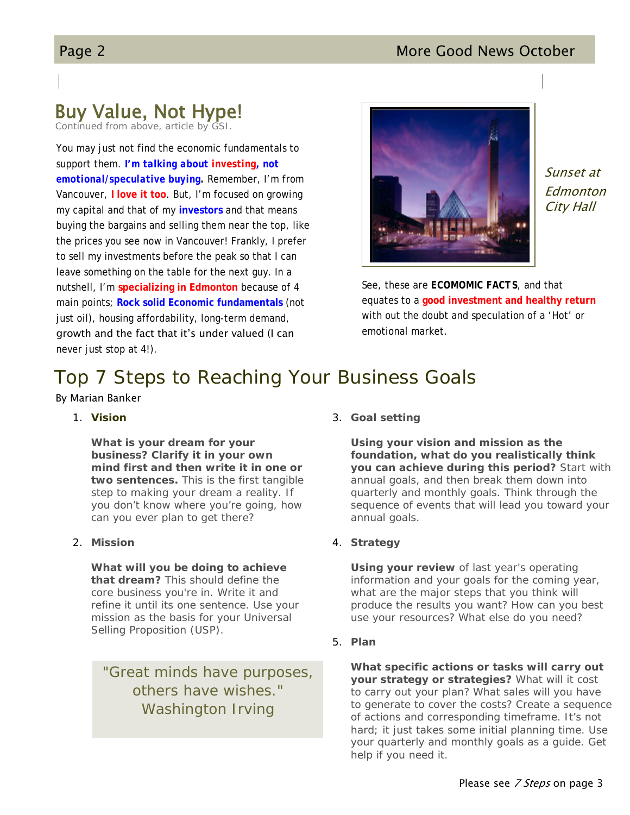### Page 2 More Good News October

## Buy Value, Not Hype!

*Continued from above, article by GSI.*

You may just not find the economic fundamentals to support them. *I'm talking about investing, not emotional/speculative buying.* Remember, I'm from Vancouver, **I love it too**. But, I'm focused on growing my capital and that of my **investors** and that means buying the bargains and selling them near the top, like the prices you see now in Vancouver! Frankly, I prefer to sell my investments before the peak so that I can leave something on the table for the next guy. In a nutshell, I'm **specializing in Edmonton** because of 4 main points; **Rock solid Economic fundamentals** (not just oil), housing affordability, long-term demand, growth and the fact that it's under valued (I can never just stop at 4!).



Sunset at Edmonton City Hall

See, these are *ECOMOMIC FACTS*, and that equates to a **good investment and healthy return** with out the doubt and speculation of a 'Hot' or emotional market.

## Top 7 Steps to Reaching Your Business Goals

By Marian Banker

1. **Vision**

**What is your dream for your business? Clarify it in your own mind first and then write it in one or two sentences.** This is the first tangible step to making your dream a reality. If you don't know where you're going, how can you ever plan to get there?

2. **Mission** 

**What will you be doing to achieve that dream?** This should define the core business you're in. Write it and refine it until its one sentence. Use your mission as the basis for your Universal Selling Proposition (USP).

*"Great minds have purposes, others have wishes." Washington Irving*

3. **Goal setting** 

**Using your vision and mission as the foundation, what do you realistically think you can achieve during this period?** Start with annual goals, and then break them down into quarterly and monthly goals. Think through the sequence of events that will lead you toward your annual goals.

4. **Strategy** 

**Using your review** of last year's operating information and your goals for the coming year, what are the major steps that you think will produce the results you want? How can you best use your resources? What else do you need?

5. **Plan** 

**What specific actions or tasks will carry out your strategy or strategies?** What will it cost to carry out your plan? What sales will you have to generate to cover the costs? Create a sequence of actions and corresponding timeframe. It's not hard; it just takes some initial planning time. Use your quarterly and monthly goals as a guide. Get help if you need it.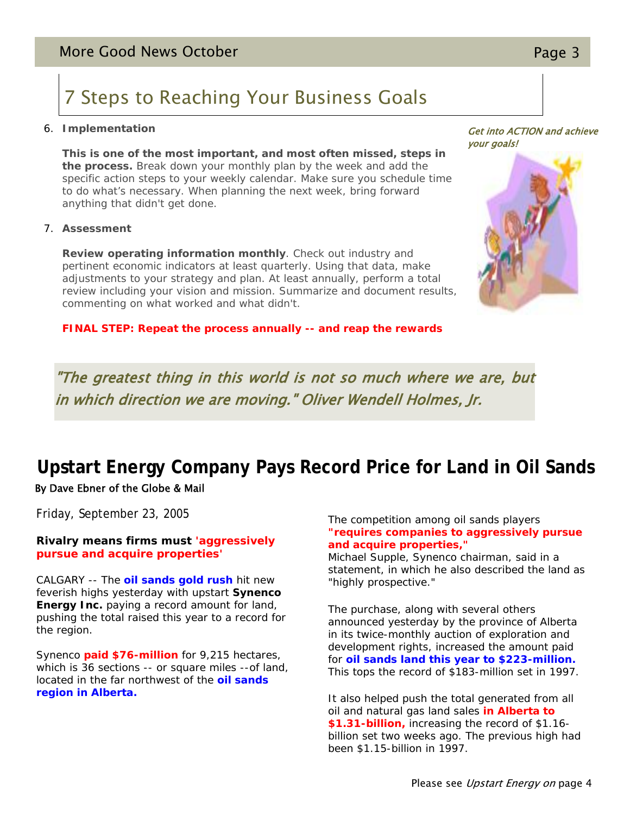# 7 Steps to Reaching Your Business Goals

#### 6. **Implementation**

**This is one of the most important, and most often missed, steps in the process.** Break down your monthly plan by the week and add the specific action steps to your weekly calendar. Make sure you schedule time to do what's necessary. When planning the next week, bring forward anything that didn't get done.

#### 7. **Assessment**

**Review operating information monthly**. Check out industry and pertinent economic indicators at least quarterly. Using that data, make adjustments to your strategy and plan. At least annually, perform a total review including your vision and mission. Summarize and document results, commenting on what worked and what didn't.

**FINAL STEP: Repeat the process annually -- and reap the rewards** 

"The greatest thing in this world is not so much where we are, but in which direction we are moving." Oliver Wendell Holmes, Jr.

## **Upstart Energy Company Pays Record Price for Land in Oil Sands** By Dave Ebner of the Globe & Mail

Friday, September 23, 2005

#### *Rivalry means firms must 'aggressively pursue and acquire properties'*

CALGARY -- The **oil sands gold rush** hit new feverish highs yesterday with upstart **Synenco Energy Inc.** paying a record amount for land, pushing the total raised this year to a record for the region.

Synenco **paid \$76-million** for 9,215 hectares, which is 36 sections -- or square miles --of land, located in the far northwest of the **oil sands region in Alberta.**

#### The competition among oil sands players **"requires companies to aggressively pursue and acquire properties,"**

Michael Supple, Synenco chairman, said in a statement, in which he also described the land as "highly prospective."

The purchase, along with several others announced yesterday by the province of Alberta in its twice-monthly auction of exploration and development rights, increased the amount paid for **oil sands land this year to \$223-million.** This tops the record of \$183-million set in 1997.

It also helped push the total generated from all oil and natural gas land sales **in Alberta to \$1.31-billion,** increasing the record of \$1.16 billion set two weeks ago. The previous high had been \$1.15-billion in 1997.

## Get into ACTION and achieve your goals!